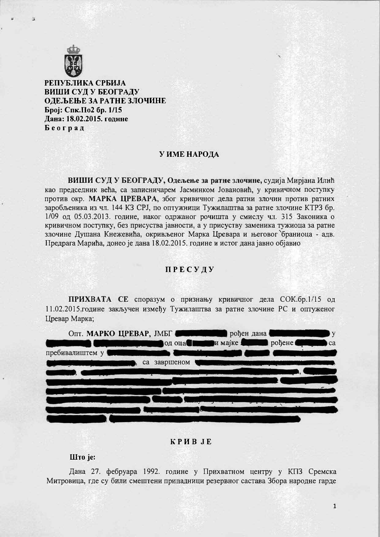

РЕПУБЛИКА СРБИЈА ВИШИ СУД У БЕОГРАДУ ОДЕЉЕЊЕ ЗА РАТНЕ ЗЛОЧИНЕ Број: Спк.По2 бр. 1/15 Дана: 18.02.2015. године Београд

## У ИМЕ НАРОДА

ВИШИ СУД У БЕОГРАДУ, Одељење за ратне злочине, судија Мирјана Илић као председник већа, са записничарем Јасминком Јовановић, у кривичном поступку против окр. МАРКА ЦРЕВАРА, због кривичног дела ратни злочин против ратних заробљеника из чл. 144 КЗ СРЈ, по оптужници Тужилаштва за ратне злочине КТРЗ бр. 1/09 од 05.03.2013. године, наког одржаног рочишта у смислу чл. 315 Законика о кривичном поступку, без присуства јавности, а у присуству заменика тужиоца за ратне злочине Лушана Кнежевића, окривљеног Марка Цревара и његовог браниоца - адв. Предрага Марића, донео је дана 18.02.2015. године и истог дана јавно објавио

### ПРЕСУДУ

ПРИХВАТА СЕ споразум о признању кривичног дела СОК.бр.1/15 од 11.02.2015.године закључен између Тужилаштва за ратне злочине РС и оптуженог Цревар Марка;



#### **KPHBJE**

### Што је:

Дана 27. фебруара 1992. године у Прихватном центру у КПЗ Сремска Митровица, где су били смештени припадници резервног састава Збора народне гарде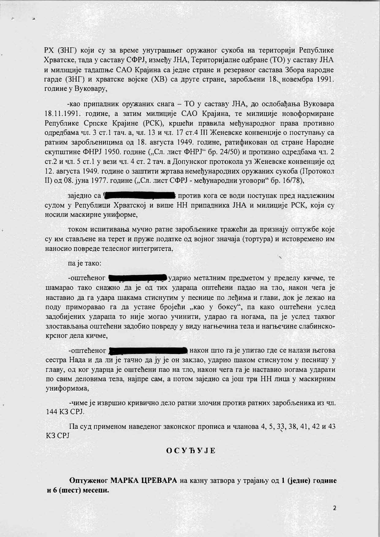РХ (ЗНГ) који су за време унутрашњег оружаног сукоба на територији Републике Хрватске, тада у саставу СФРЈ, између ЈНА, Територијалне одбране (ТО) у саставу ЈНА и милиције тадашње САО Крајина са једне стране и резервног састава Збора народне гарде (ЗНГ) и хрватске војске (ХВ) са друге стране, заробљени 18. новембра 1991. године у Вуковару,

-као припадник оружаних снага - ТО у саставу ЈНА, до ослобађања Вуковара 18.11.1991. године, а затим милиције САО Крајина, те милиције новоформиране Републике Српске Крајине (РСК), кршећи правила међународног права противно одредбама чл. 3 ст.1 тач. а, чл. 13 и чл. 17 ст.4 III Женевске конвенције о поступању са ратним заробљеницима од 18. августа 1949. године, ратификован од стране Народне скупштине ФНРЈ 1950. године ("Сл. лист ФНРЈ" бр. 24/50) и противно одредбама чл. 2 ст.2 и чл. 5 ст.1 у вези чл. 4 ст. 2 тач. а Допунског протокола уз Женевске конвенције од 12. августа 1949. године о заштити жртава немеђународних оружаних сукоба (Протокол II) од 08. јуна 1977. године ("Сл. лист СФРЈ - међународни уговори" бр. 16/78),

против кога се води поступак пред надлежним зајелно са 1 судом у Републици Хрватској и више НН припадника ЈНА и милиције РСК, који су носили маскирне униформе,

током испитивања мучио ратне заробљенике тражећи да признају оптужбе које су им стављене на терет и пруже податке од војног значаја (тортура) и истовремено им наносио повреде телесног интегритета,

па је тако:

-оштећеног **видеологија у пред**ударио металним предметом у пределу кичме, те шамарао тако снажно да је од тих удараца оппећени падао на тло, након чега је наставио да га удара шакама стиснутим у песнице по леђима и глави, док је лежао на поду приморавао га да устане бројећи "као у боксу", па како оштећени услед задобијених удараца то није могао учинити, ударао га ногама, па је услед таквог злостављања оштећени задобио повреду у виду нагњечина тела и нагњечине слабинскокрсног дела кичме,

након што га је упитао где се налази његова -оштећеног сестра Нада и да ли је тачно да ју је он заклао, ударио шаком стиснутом у песницу у главу, од ког ударца је оштећени пао на тло, након чега га је наставио ногама ударати по свим деловима тела, најпре сам, а потом заједно са још три НН лица у маскирним униформама,

-чиме је извршио кривично дело ратни злочин против ратних заробљеника из чл. 144 K3 CPJ.

Па суд применом наведеног законског прописа и чланова 4, 5, 33, 38, 41, 42 и 43 K3 CPJ

# OCYBYJE

Оптуженог МАРКА ЦРЕВАРА на казну затвора у трајању од 1 (једне) године и 6 (шест) месеци.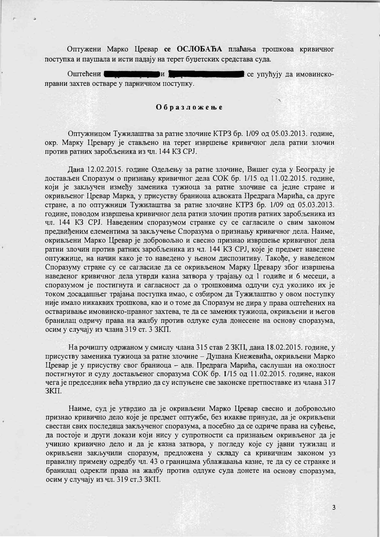Оптужени Марко Цревар се ОСЛОБАЂА плаћања трошкова кривичног поступка и паушала и исти падају на терет буџетских средстава суда.

Оштећени и е се упућују да имовинскоправни захтев остваре у парничном поступку.

### Образложење

Оптужницом Тужилаштва за ратне злочине КТРЗ бр. 1/09 од 05.03.2013. године, окр. Марку Цревару је стављено на терет извршење кривичног дела ратни злочин против ратних заробљеника из чл. 144 КЗ СРЈ.

Дана 12.02.2015. године Одељењу за ратне злочине, Вишег суда у Београду је достављен Споразум о признању кривичног дела СОК бр. 1/15 од 11.02.2015. године, који је закључен између заменика тужиоца за ратне злочине са једне стране и окривљеног Цревар Марка, у присуству браниоца адвоката Предрага Марића, са друге стране, а по оптужници Тужилаштва за ратне злочине КТРЗ бр. 1/09 од 05.03.2013. године, поводом извршења кривичног дела ратни злочин против ратних заробљеника из чл. 144 КЗ СРЈ. Наведеним споразумом странке су се сагласиле о свим законом предвиђеним елементима за закључење Споразума о признању кривичног дела. Наиме, окривљени Марко Цревар је добровољно и свесно признао извршење кривичног дела ратни злочин против ратних заробљеника из чл. 144 КЗ СРЈ, које је предмет наведене онтужнице, на начин како је то наведено у њеном диспозитиву. Такође, у наведеном Споразуму стране су се сагласиле да се окривљеном Марку Цревару због извршења наведеног кривичног дела утврди казна затвора у трајању од 1 године и 6 месеци, а споразумом је постигнута и сагласност да о трошковима одлучи суд уколико их је током досадашњег трајања поступка имао, с озбиром да Тужилаштво у овом поступку није имало никаквих трошкова, као и о томе да Споразум не дира у права оштећених на остваривање имовинско-правног захтева, те да се заменик тужиоца, окривљени и његов бранилац одричу права на жалбу против одлуке суда донесене на основу споразума, осим у случају из члана 319 ст. 3 ЗКП.

На рочишту одржаном у смислу члана 315 став 2 ЗКП, дана 18.02.2015. године, у присуству заменика тужиоца за ратне злочине - Душана Кнежевића, окривљени Марко Цревар је у присуству свог браниоца - адв. Предрага Марића, саслушан на околност постигнутог и суду достављеног споразума СОК бр. 1/15 од 11.02.2015. године, након чега је председник већа утврдио да су испуњене све законске претпоставке из члана 317 3KII.

Наиме, суд је утврдио да је окривљени Марко Цревар свесно и добровољно признао кривично дело које је предмет оптужбе, без икакве принуде, да је окривљени свестан свих последица закљученог споразума, а посебно да се одриче права на суђење, да постоје и други докази који нису у супротности са признањем окривљеног да је учинио кривично дело и да је казна затвора, у погледу које су јавни тужилац и окривљени закључили споразум, предложена у складу са кривичним законом уз правилну примену одредбу чл. 43 о границама ублажавања казне, те да су се странке и бранилац одрекли права на жалбу против одлуке суда донете на основу споразума, осим у случају из чл. 319 ст.3 ЗКП.